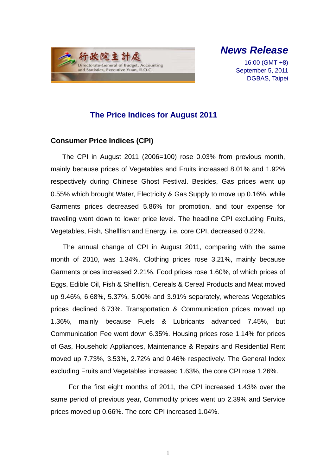

*News Release*

16:00 (GMT +8) September 5, 2011 DGBAS, Taipei

### **The Price Indices for August 2011**

#### **Consumer Price Indices (CPI)**

The CPI in August 2011 (2006=100) rose 0.03% from previous month, mainly because prices of Vegetables and Fruits increased 8.01% and 1.92% respectively during Chinese Ghost Festival. Besides, Gas prices went up 0.55% which brought Water, Electricity & Gas Supply to move up 0.16%, while Garments prices decreased 5.86% for promotion, and tour expense for traveling went down to lower price level. The headline CPI excluding Fruits, Vegetables, Fish, Shellfish and Energy, i.e. core CPI, decreased 0.22%.

The annual change of CPI in August 2011, comparing with the same month of 2010, was 1.34%. Clothing prices rose 3.21%, mainly because Garments prices increased 2.21%. Food prices rose 1.60%, of which prices of Eggs, Edible Oil, Fish & Shellfish, Cereals & Cereal Products and Meat moved up 9.46%, 6.68%, 5.37%, 5.00% and 3.91% separately, whereas Vegetables prices declined 6.73%. Transportation & Communication prices moved up 1.36%, mainly because Fuels & Lubricants advanced 7.45%, but Communication Fee went down 6.35%. Housing prices rose 1.14% for prices of Gas, Household Appliances, Maintenance & Repairs and Residential Rent moved up 7.73%, 3.53%, 2.72% and 0.46% respectively. The General Index excluding Fruits and Vegetables increased 1.63%, the core CPI rose 1.26%.

For the first eight months of 2011, the CPI increased 1.43% over the same period of previous year, Commodity prices went up 2.39% and Service prices moved up 0.66%. The core CPI increased 1.04%.

1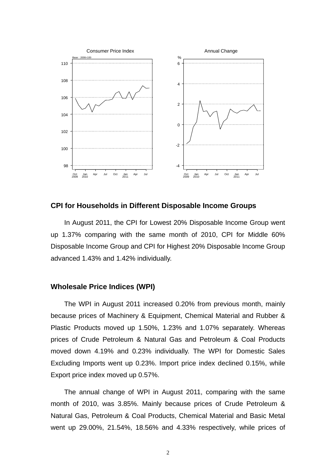

**CPI for Households in Different Disposable Income Groups**

In August 2011, the CPI for Lowest 20% Disposable Income Group went up 1.37% comparing with the same month of 2010, CPI for Middle 60% Disposable Income Group and CPI for Highest 20% Disposable Income Group advanced 1.43% and 1.42% individually.

#### **Wholesale Price Indices (WPI)**

The WPI in August 2011 increased 0.20% from previous month, mainly because prices of Machinery & Equipment, Chemical Material and Rubber & Plastic Products moved up 1.50%, 1.23% and 1.07% separately. Whereas prices of Crude Petroleum & Natural Gas and Petroleum & Coal Products moved down 4.19% and 0.23% individually. The WPI for Domestic Sales Excluding Imports went up 0.23%. Import price index declined 0.15%, while Export price index moved up 0.57%.

The annual change of WPI in August 2011, comparing with the same month of 2010, was 3.85%. Mainly because prices of Crude Petroleum & Natural Gas, Petroleum & Coal Products, Chemical Material and Basic Metal went up 29.00%, 21.54%, 18.56% and 4.33% respectively, while prices of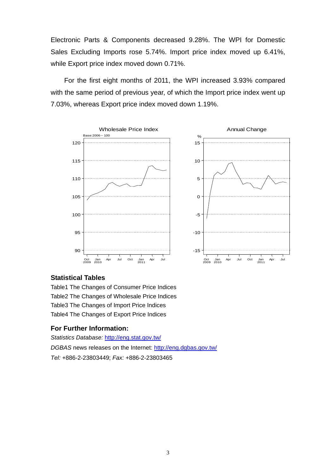Electronic Parts & Components decreased 9.28%. The WPI for Domestic Sales Excluding Imports rose 5.74%. Import price index moved up 6.41%, while Export price index moved down 0.71%.

For the first eight months of 2011, the WPI increased 3.93% compared with the same period of previous year, of which the Import price index went up 7.03%, whereas Export price index moved down 1.19%.



#### **Statistical Tables**

Table1 The Changes of Consumer Price Indices Table2 The Changes of Wholesale Price Indices Table3 The Changes of Import Price Indices Table4 The Changes of Export Price Indices

#### **For Further Information:**

*Statistics Database:* http://eng.stat.gov.tw/ *DGBAS* news releases on the Internet: http://eng.dgbas.gov.tw/ *Tel:* +886-2-23803449; *Fax:* +886-2-23803465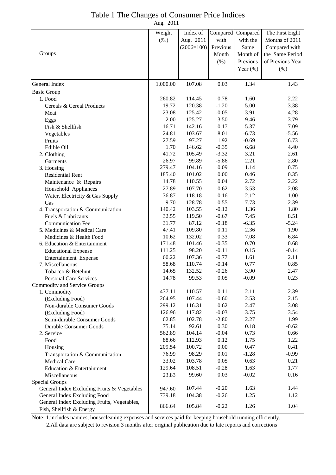### Table 1 The Changes of Consumer Price Indices

Aug. 2011

|                                                                             | Weight   | Index of         |                    | Compared Compared | The First Eight  |
|-----------------------------------------------------------------------------|----------|------------------|--------------------|-------------------|------------------|
|                                                                             | $(\%0)$  | Aug. 2011        | with               | with the          | Months of 2011   |
|                                                                             |          | $(2006=100)$     | Previous           | Same              | Compared with    |
| Groups                                                                      |          |                  | Month              | Month of          | the Same Period  |
|                                                                             |          |                  | $(\% )$            | Previous          | of Previous Year |
|                                                                             |          |                  |                    | Year $(\%)$       | (% )             |
|                                                                             |          |                  |                    |                   |                  |
| General Index                                                               | 1,000.00 | 107.08           | 0.03               | 1.34              | 1.43             |
| <b>Basic Group</b>                                                          |          |                  |                    |                   |                  |
| 1. Food                                                                     | 260.82   | 114.45           | 0.78               | 1.60              | 2.22             |
| Cereals & Cereal Products                                                   | 19.72    | 120.38           | $-1.20$            | 5.00              | 3.38             |
| Meat                                                                        | 23.08    | 125.42           | $-0.05$            | 3.91              | 4.28             |
| Eggs                                                                        | 2.00     | 125.27           | 3.50               | 9.46              | 3.79             |
| Fish & Shellfish                                                            | 16.71    | 142.16           | 0.17               | 5.37              | 7.09             |
| Vegetables                                                                  | 24.81    | 103.67           | 8.01               | $-6.73$           | $-5.56$          |
| Fruits                                                                      | 27.59    | 97.27            | 1.92               | $-0.69$           | 6.73             |
| Edible Oil                                                                  | 1.70     | 146.62           | $-0.35$            | 6.68              | 4.40             |
| 2. Clothing                                                                 | 41.72    | 105.49           | $-3.32$            | 3.21              | 2.61             |
| Garments                                                                    | 26.97    | 99.89            | $-5.86$            | 2.21              | 2.80             |
| 3. Housing                                                                  | 279.47   | 104.16           | 0.09               | 1.14              | 0.75             |
| <b>Residential Rent</b>                                                     | 185.40   | 101.02           | 0.00               | 0.46              | 0.35             |
| Maintenance & Repairs                                                       | 14.78    | 110.55           | 0.04               | 2.72              | 2.22             |
| Household Appliances                                                        | 27.89    | 107.70           | 0.62               | 3.53              | 2.08             |
| Water, Electricity & Gas Supply                                             | 36.87    | 118.18           | 0.16               | 2.12              | 1.00             |
| Gas                                                                         | 9.70     | 128.78           | 0.55               | 7.73              | 2.39             |
| 4. Transportation & Communication                                           | 140.42   | 103.55           | $-0.12$            | 1.36              | 1.80             |
| Fuels & Lubricants                                                          | 32.55    | 119.50           | $-0.67$            | 7.45              | 8.51             |
| <b>Communication Fee</b>                                                    | 31.77    | 87.12            | $-0.18$            | $-6.35$           | $-5.24$          |
| 5. Medicines & Medical Care                                                 | 47.41    | 109.80           | 0.11               | 2.36              | 1.90             |
| Medicines & Health Food                                                     | 10.62    | 132.02           | 0.33               | 7.08              | 6.84             |
| 6. Education & Entertainment                                                | 171.48   | 101.46           | $-0.35$            | 0.70              | 0.68             |
| <b>Educational Expense</b>                                                  | 111.25   | 98.20            | $-0.11$            | 0.15              | $-0.14$          |
| Entertainment Expense                                                       | 60.22    | 107.36           | $-0.77$            | 1.61              | 2.11             |
| 7. Miscellaneous                                                            | 58.68    | 110.74           | $-0.14$            | 0.77              | 0.85             |
| Tobacco & Betelnut                                                          | 14.65    | 132.52           | $-0.26$            | 3.90              | 2.47             |
| Personal Care Services                                                      | 14.78    | 99.53            | 0.05               | $-0.09$           | 0.23             |
| Commodity and Service Groups                                                |          |                  |                    |                   |                  |
| 1. Commodity                                                                | 437.11   | 110.57           | 0.11               | 2.11              | 2.39             |
| (Excluding Food)                                                            | 264.95   | 107.44           | $-0.60$            | 2.53              | 2.15             |
| Non-durable Consumer Goods                                                  | 299.12   | 116.31           | 0.62               | 2.47              | 3.08             |
| (Excluding Food)                                                            | 126.96   | 117.82           | $-0.03$            | 3.75              | 3.54             |
| Semi-durable Consumer Goods                                                 | 62.85    | 102.78           | $-2.80$            | 2.27              | 1.99             |
| <b>Durable Consumer Goods</b>                                               | 75.14    | 92.61            | 0.30               | 0.18              | $-0.62$          |
| 2. Service                                                                  | 562.89   | 104.14           | $-0.04$            | 0.73              | 0.66             |
| Food                                                                        | 88.66    | 112.93           | 0.12               | 1.75              | 1.22             |
| Housing                                                                     | 209.54   | 100.72           | 0.00               | 0.47              | 0.41             |
| Transportation & Communication                                              | 76.99    | 98.29            | 0.01               | $-1.28$           | $-0.99$          |
| Medical Care                                                                | 33.02    | 103.78           | 0.05               | 0.63              | 0.21             |
| Education & Entertainment                                                   | 129.64   | 108.51           | $-0.28$            | 1.63              | 1.77             |
| Miscellaneous                                                               | 23.83    | 99.60            | 0.03               | $-0.02$           | 0.16             |
| Special Groups                                                              |          |                  |                    |                   |                  |
| General Index Excluding Fruits & Vegetables                                 | 947.60   | 107.44<br>104.38 | $-0.20$<br>$-0.26$ | 1.63<br>1.25      | 1.44             |
| General Index Excluding Food<br>General Index Excluding Fruits, Vegetables, | 739.18   |                  |                    |                   | 1.12             |
| Fish, Shellfish & Energy                                                    | 866.64   | 105.84           | $-0.22$            | 1.26              | 1.04             |

Note: 1.includes nannies, housecleaning expenses and services paid for keeping household running efficiently.

2.All data are subject to revision 3 months after original publication due to late reports and corrections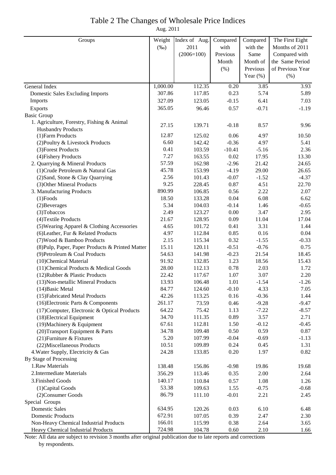#### Table 2 The Changes of Wholesale Price Indices

Aug. 2011

| Groups                                           | Weight   | Index of Aug. | Compared | Compared    | The First Eight  |
|--------------------------------------------------|----------|---------------|----------|-------------|------------------|
|                                                  | $(\%0)$  | 2011          | with     | with the    | Months of 2011   |
|                                                  |          | $(2006=100)$  | Previous | Same        | Compared with    |
|                                                  |          |               | Month    | Month of    | the Same Period  |
|                                                  |          |               | (%)      | Previous    | of Previous Year |
|                                                  |          |               |          | Year $(\%)$ | (% )             |
| General Index                                    | 1,000.00 | 112.35        | 0.20     | 3.85        | 3.93             |
| <b>Domestic Sales Excluding Imports</b>          | 307.86   | 117.85        | 0.23     | 5.74        | 5.89             |
| Imports                                          | 327.09   | 123.05        | $-0.15$  | 6.41        | 7.03             |
| Exports                                          | 365.05   | 96.46         | 0.57     | $-0.71$     | $-1.19$          |
| <b>Basic Group</b>                               |          |               |          |             |                  |
| 1. Agriculture, Forestry, Fishing & Animal       |          |               |          |             |                  |
| <b>Husbandry Products</b>                        | 27.15    | 139.71        | $-0.18$  | 8.57        | 9.96             |
| (1) Farm Products                                | 12.87    | 125.02        | 0.06     | 4.97        | 10.50            |
| (2) Poultry & Livestock Products                 | 6.60     | 142.42        | $-0.36$  | 4.97        | 5.41             |
| (3) Forest Products                              | 0.41     | 103.59        | $-10.41$ | $-5.16$     | 2.36             |
| (4) Fishery Products                             | 7.27     | 163.55        | 0.02     | 17.95       | 13.30            |
| 2. Quarrying & Mineral Products                  | 57.59    | 162.98        | $-2.96$  | 21.42       | 24.65            |
| (1) Crude Petroleum & Natural Gas                | 45.78    | 153.99        | $-4.19$  | 29.00       | 26.65            |
| (2) Sand, Stone & Clay Quarrying                 | 2.56     | 101.43        | $-0.07$  | $-1.52$     | $-4.37$          |
| (3) Other Mineral Products                       | 9.25     | 228.45        | 0.87     | 4.51        | 22.70            |
| 3. Manufacturing Products                        | 890.99   | 106.85        | 0.56     | 2.22        | 2.07             |
| $(1)$ Foods                                      | 18.50    | 133.28        | 0.04     | 6.08        | 6.62             |
| (2) Beverages                                    | 5.34     | 104.03        | $-0.14$  | 1.46        | $-0.65$          |
| (3) Tobaccos                                     | 2.49     | 123.27        | $0.00\,$ | 3.47        | 2.95             |
| (4) Textile Products                             | 21.67    | 128.95        | 0.09     | 11.04       | 17.04            |
| (5) Wearing Apparel & Clothing Accessories       | 4.65     | 101.72        | 0.41     | 3.31        | 1.44             |
| (6) Leather, Fur & Related Products              | 4.97     | 112.84        | 0.85     | 0.16        | 0.04             |
| (7) Wood & Bamboo Products                       | 2.15     | 115.34        | 0.32     | $-1.55$     | $-0.33$          |
| (8) Pulp, Paper, Paper Products & Printed Matter | 15.11    | 120.11        | $-0.51$  | $-0.76$     | 0.75             |
| (9) Petroleum & Coal Products                    | 54.63    | 141.98        | $-0.23$  | 21.54       | 18.45            |
| (10)Chemical Material                            | 91.92    | 132.85        | 1.23     | 18.56       | 15.43            |
| (11) Chemical Products & Medical Goods           | 28.00    | 112.13        | 0.78     | 2.03        | 1.72             |
| (12) Rubber & Plastic Products                   | 22.42    | 117.67        | 1.07     | 3.07        | 2.20             |
| (13) Non-metallic Mineral Products               | 13.93    | 106.48        | 1.01     | $-1.54$     | $-1.26$          |
| $(14)$ Basic Metal                               | 84.77    | 124.60        | $-0.10$  | 4.33        | 7.05             |
| (15) Fabricated Metal Products                   | 42.26    | 113.25        | 0.16     | $-0.36$     | 1.44             |
| (16) Electronic Parts & Components               | 261.17   | 73.59         | 0.46     | $-9.28$     | $-9.47$          |
| (17) Computer, Electronic & Optical Products     | 64.22    | 75.42         | 1.13     | $-7.22$     | $-8.57$          |
| (18) Electrical Equipment                        | 34.70    | 111.35        | 0.89     | 3.57        | 2.71             |
| (19) Machinery & Equipment                       | 67.61    | 112.81        | 1.50     | $-0.12$     | $-0.45$          |
| (20) Transport Equipment & Parts                 | 34.78    | 109.48        | 0.50     | 0.59        | 0.87             |
| (21) Furniture & Fixtures                        | 5.20     | 107.99        | $-0.04$  | $-0.69$     | $-1.13$          |
| (22) Miscellaneous Products                      | 10.51    | 109.89        | 0.24     | 0.45        | 1.31             |
| 4. Water Supply, Electricity & Gas               | 24.28    | 133.85        | 0.20     | 1.97        | 0.82             |
| By Stage of Processing                           |          |               |          |             |                  |
| 1.Raw Materials                                  | 138.48   | 156.86        | $-0.98$  | 19.86       | 19.68            |
| 2. Intermediate Materials                        | 356.29   | 113.46        | 0.35     | 2.00        | 2.64             |
| 3. Finished Goods                                | 140.17   | 110.84        | 0.57     | 1.08        | 1.26             |
| (1) Capital Goods                                | 53.38    | 109.63        | 1.55     | $-0.75$     | $-0.68$          |
| (2) Consumer Goods                               | 86.79    | 111.10        | $-0.01$  | 2.21        | 2.45             |
| Special Groups                                   |          |               |          |             |                  |
| <b>Domestic Sales</b>                            | 634.95   | 120.26        | 0.03     | 6.10        | 6.48             |
| <b>Domestic Products</b>                         | 672.91   | 107.05        | 0.39     | 2.47        | 2.30             |
| Non-Heavy Chemical Industrial Products           | 166.01   | 115.99        | 0.38     | 2.64        | 3.65             |
| Heavy Chemical Industrial Products               | 724.98   | 104.78        | 0.60     | 2.10        | 1.66             |

Note: All data are subject to revision 3 months after original publication due to late reports and corrections by respondents.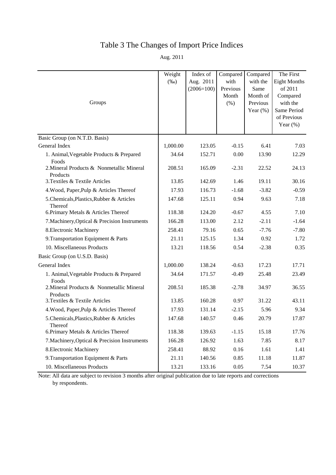# Table 3 The Changes of Import Price Indices

Aug. 2011

| Groups                                                | Weight<br>$(\%0)$ | Index of<br>Aug. 2011<br>$(2006=100)$ | Compared<br>with<br>Previous<br>Month<br>(% ) | Compared<br>with the<br>Same<br>Month of<br>Previous<br>Year $(\%)$ | The First<br><b>Eight Months</b><br>of 2011<br>Compared<br>with the<br>Same Period<br>of Previous<br>Year $(\%)$ |
|-------------------------------------------------------|-------------------|---------------------------------------|-----------------------------------------------|---------------------------------------------------------------------|------------------------------------------------------------------------------------------------------------------|
| Basic Group (on N.T.D. Basis)                         |                   |                                       |                                               |                                                                     |                                                                                                                  |
| General Index                                         | 1,000.00          | 123.05                                | $-0.15$                                       | 6.41                                                                | 7.03                                                                                                             |
| 1. Animal, Vegetable Products & Prepared<br>Foods     | 34.64             | 152.71                                | 0.00                                          | 13.90                                                               | 12.29                                                                                                            |
| 2. Mineral Products & Nonmetallic Mineral<br>Products | 208.51            | 165.09                                | $-2.31$                                       | 22.52                                                               | 24.13                                                                                                            |
| 3. Textiles & Textile Articles                        | 13.85             | 142.69                                | 1.46                                          | 19.11                                                               | 30.16                                                                                                            |
| 4. Wood, Paper, Pulp & Articles Thereof               | 17.93             | 116.73                                | $-1.68$                                       | $-3.82$                                                             | $-0.59$                                                                                                          |
| 5. Chemicals, Plastics, Rubber & Articles<br>Thereof  | 147.68            | 125.11                                | 0.94                                          | 9.63                                                                | 7.18                                                                                                             |
| 6. Primary Metals & Articles Thereof                  | 118.38            | 124.20                                | $-0.67$                                       | 4.55                                                                | 7.10                                                                                                             |
| 7. Machinery, Optical & Precision Instruments         | 166.28            | 113.00                                | 2.12                                          | $-2.11$                                                             | $-1.64$                                                                                                          |
| 8. Electronic Machinery                               | 258.41            | 79.16                                 | 0.65                                          | $-7.76$                                                             | $-7.80$                                                                                                          |
| 9. Transportation Equipment & Parts                   | 21.11             | 125.15                                | 1.34                                          | 0.92                                                                | 1.72                                                                                                             |
| 10. Miscellaneous Products                            | 13.21             | 118.56                                | 0.54                                          | $-2.38$                                                             | 0.35                                                                                                             |
| Basic Group (on U.S.D. Basis)                         |                   |                                       |                                               |                                                                     |                                                                                                                  |
| General Index                                         | 1,000.00          | 138.24                                | $-0.63$                                       | 17.23                                                               | 17.71                                                                                                            |
| 1. Animal, Vegetable Products & Prepared<br>Foods     | 34.64             | 171.57                                | $-0.49$                                       | 25.48                                                               | 23.49                                                                                                            |
| 2. Mineral Products & Nonmetallic Mineral<br>Products | 208.51            | 185.38                                | $-2.78$                                       | 34.97                                                               | 36.55                                                                                                            |
| 3. Textiles & Textile Articles                        | 13.85             | 160.28                                | 0.97                                          | 31.22                                                               | 43.11                                                                                                            |
| 4. Wood, Paper, Pulp & Articles Thereof               | 17.93             | 131.14                                | $-2.15$                                       | 5.96                                                                | 9.34                                                                                                             |
| 5. Chemicals, Plastics, Rubber & Articles<br>Thereof  | 147.68            | 140.57                                | 0.46                                          | 20.79                                                               | 17.87                                                                                                            |
| 6. Primary Metals & Articles Thereof                  | 118.38            | 139.63                                | $-1.15$                                       | 15.18                                                               | 17.76                                                                                                            |
| 7. Machinery, Optical & Precision Instruments         | 166.28            | 126.92                                | 1.63                                          | 7.85                                                                | 8.17                                                                                                             |
| 8. Electronic Machinery                               | 258.41            | 88.92                                 | 0.16                                          | 1.61                                                                | 1.41                                                                                                             |
| 9. Transportation Equipment & Parts                   | 21.11             | 140.56                                | 0.85                                          | 11.18                                                               | 11.87                                                                                                            |
| 10. Miscellaneous Products                            | 13.21             | 133.16                                | 0.05                                          | 7.54                                                                | 10.37                                                                                                            |

Note: All data are subject to revision 3 months after original publication due to late reports and corrections by respondents.